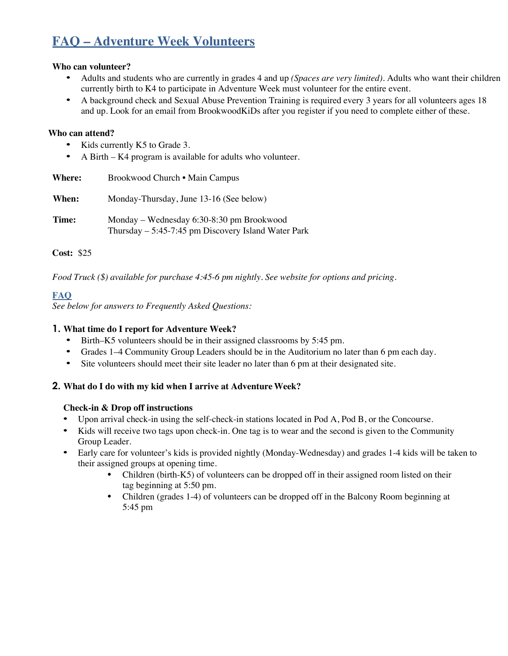# **FAQ – Adventure Week Volunteers**

## **Who can volunteer?**

- Adults and students who are currently in grades 4 and up *(Spaces are very limited).* Adults who want their children currently birth to K4 to participate in Adventure Week must volunteer for the entire event.
- A background check and Sexual Abuse Prevention Training is required every 3 years for all volunteers ages 18 and up. Look for an email from BrookwoodKiDs after you register if you need to complete either of these.

## **Who can attend?**

- Kids currently K5 to Grade 3.
- A Birth K4 program is available for adults who volunteer.

| <b>Where:</b> | Brookwood Church • Main Campus                                                                     |
|---------------|----------------------------------------------------------------------------------------------------|
| When:         | Monday-Thursday, June 13-16 (See below)                                                            |
| Time:         | Monday – Wednesday 6:30-8:30 pm Brookwood<br>Thursday $-$ 5:45-7:45 pm Discovery Island Water Park |

## **Cost:** \$25

*Food Truck (\$) available for purchase 4:45-6 pm nightly. See website for options and pricing.*

## **FAQ**

*See below for answers to Frequently Asked Questions:*

## **1. What time do I report for Adventure Week?**

- Birth–K5 volunteers should be in their assigned classrooms by 5:45 pm.
- Grades 1–4 Community Group Leaders should be in the Auditorium no later than 6 pm each day.
- Site volunteers should meet their site leader no later than 6 pm at their designated site.

## **2. What do I do with my kid when I arrive at Adventure Week?**

## **Check-in & Drop off instructions**

- Upon arrival check-in using the self-check-in stations located in Pod A, Pod B, or the Concourse.
- Kids will receive two tags upon check-in. One tag is to wear and the second is given to the Community Group Leader.
- Early care for volunteer's kids is provided nightly (Monday-Wednesday) and grades 1-4 kids will be taken to their assigned groups at opening time.
	- Children (birth-K5) of volunteers can be dropped off in their assigned room listed on their tag beginning at 5:50 pm.
	- Children (grades 1-4) of volunteers can be dropped off in the Balcony Room beginning at 5:45 pm